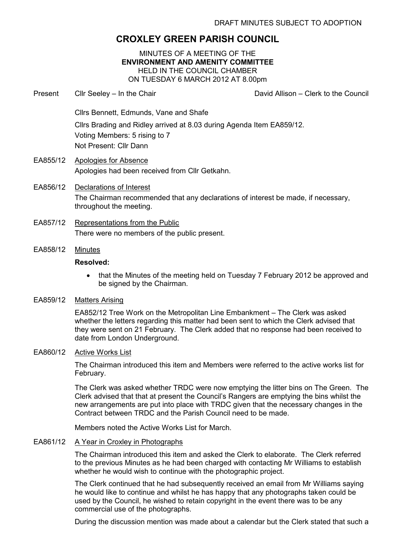# CROXLEY GREEN PARISH COUNCIL

MINUTES OF A MEETING OF THE ENVIRONMENT AND AMENITY COMMITTEE HELD IN THE COUNCIL CHAMBER ON TUESDAY 6 MARCH 2012 AT 8.00pm

Present Cllr Seeley – In the Chair Chair David Allison – Clerk to the Council

Cllrs Bennett, Edmunds, Vane and Shafe

Cllrs Brading and Ridley arrived at 8.03 during Agenda Item EA859/12. Voting Members: 5 rising to 7 Not Present: Cllr Dann

- EA855/12 Apologies for Absence Apologies had been received from Cllr Getkahn.
- EA856/12 Declarations of Interest The Chairman recommended that any declarations of interest be made, if necessary, throughout the meeting.
- EA857/12 Representations from the Public There were no members of the public present.
- EA858/12 Minutes

### Resolved:

• that the Minutes of the meeting held on Tuesday 7 February 2012 be approved and be signed by the Chairman.

### EA859/12 Matters Arising

EA852/12 Tree Work on the Metropolitan Line Embankment – The Clerk was asked whether the letters regarding this matter had been sent to which the Clerk advised that they were sent on 21 February. The Clerk added that no response had been received to date from London Underground.

# EA860/12 Active Works List

The Chairman introduced this item and Members were referred to the active works list for February.

The Clerk was asked whether TRDC were now emptying the litter bins on The Green. The Clerk advised that that at present the Council's Rangers are emptying the bins whilst the new arrangements are put into place with TRDC given that the necessary changes in the Contract between TRDC and the Parish Council need to be made.

Members noted the Active Works List for March.

#### EA861/12 A Year in Croxley in Photographs

The Chairman introduced this item and asked the Clerk to elaborate. The Clerk referred to the previous Minutes as he had been charged with contacting Mr Williams to establish whether he would wish to continue with the photographic project.

The Clerk continued that he had subsequently received an email from Mr Williams saying he would like to continue and whilst he has happy that any photographs taken could be used by the Council, he wished to retain copyright in the event there was to be any commercial use of the photographs.

During the discussion mention was made about a calendar but the Clerk stated that such a